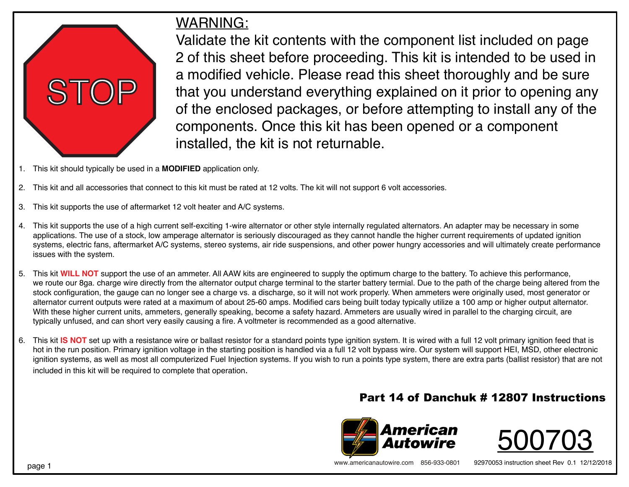

## WARNING:

Validate the kit contents with the component list included on page 2 of this sheet before proceeding. This kit is intended to be used in a modified vehicle. Please read this sheet thoroughly and be sure that you understand everything explained on it prior to opening any of the enclosed packages, or before attempting to install any of the components. Once this kit has been opened or a component installed, the kit is not returnable.

- 1. This kit should typically be used in a **MODIFIED** application only.
- 2. This kit and all accessories that connect to this kit must be rated at 12 volts. The kit will not support 6 volt accessories.
- 3. This kit supports the use of aftermarket 12 volt heater and A/C systems.
- 4. This kit supports the use of a high current self-exciting 1-wire alternator or other style internally regulated alternators. An adapter may be necessary in some applications. The use of a stock, low amperage alternator is seriously discouraged as they cannot handle the higher current requirements of updated ignition systems, electric fans, aftermarket A/C systems, stereo systems, air ride suspensions, and other power hungry accessories and will ultimately create performance issues with the system.
- 5. This kit **WILL NOT** support the use of an ammeter. All AAW kits are engineered to supply the optimum charge to the battery. To achieve this performance, we route our 8ga. charge wire directly from the alternator output charge terminal to the starter battery termial. Due to the path of the charge being altered from the stock configuration, the gauge can no longer see a charge vs. a discharge, so it will not work properly. When ammeters were originally used, most generator or alternator current outputs were rated at a maximum of about 25-60 amps. Modified cars being built today typically utilize a 100 amp or higher output alternator. With these higher current units, ammeters, generally speaking, become a safety hazard. Ammeters are usually wired in parallel to the charging circuit, are typically unfused, and can short very easily causing a fire. A voltmeter is recommended as a good alternative.
- 6. This kit **IS NOT** set up with a resistance wire or ballast resistor for a standard points type ignition system. It is wired with a full 12 volt primary ignition feed that is hot in the run position. Primary ignition voltage in the starting position is handled via a full 12 volt bypass wire. Our system will support HEI, MSD, other electronic ignition systems, as well as most all computerized Fuel Injection systems. If you wish to run a points type system, there are extra parts (ballist resistor) that are not included in this kit will be required to complete that operation.

## Part 14 of Danchuk # 12807 Instructions





www.americanautowire.com 856-933-0801 92970053 instruction sheet Rev 0.1 12/12/2018